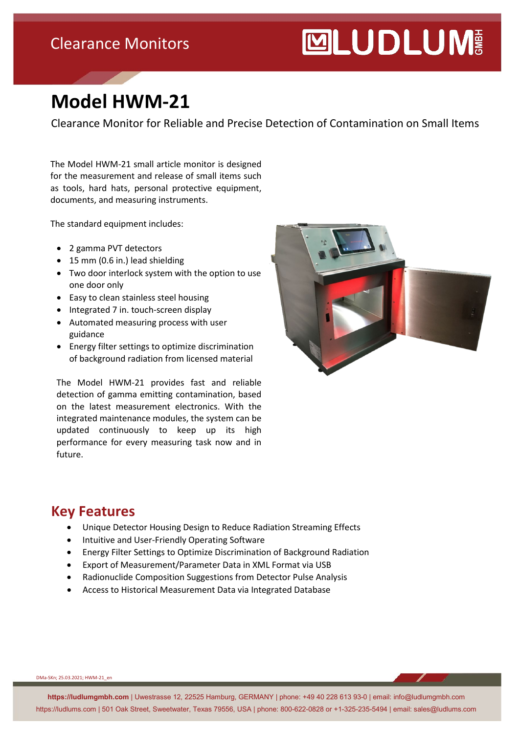## Clearance Monitors

# **MUDLUM**

# **Model HWM-21**

Clearance Monitor for Reliable and Precise Detection of Contamination on Small Items

The Model HWM-21 small article monitor is designed for the measurement and release of small items such as tools, hard hats, personal protective equipment, documents, and measuring instruments.

The standard equipment includes:

- 2 gamma PVT detectors
- 15 mm (0.6 in.) lead shielding
- Two door interlock system with the option to use one door only
- Easy to clean stainless steel housing
- Integrated 7 in. touch-screen display
- Automated measuring process with user guidance
- Energy filter settings to optimize discrimination of background radiation from licensed material

The Model HWM-21 provides fast and reliable detection of gamma emitting contamination, based on the latest measurement electronics. With the integrated maintenance modules, the system can be updated continuously to keep up its high performance for every measuring task now and in future.



#### **Key Features**

- Unique Detector Housing Design to Reduce Radiation Streaming Effects
- Intuitive and User-Friendly Operating Software
- Energy Filter Settings to Optimize Discrimination of Background Radiation
- Export of Measurement/Parameter Data in XML Format via USB
- Radionuclide Composition Suggestions from Detector Pulse Analysis
- Access to Historical Measurement Data via Integrated Database

DMa-SKn; 25.03.2021; HWM-21\_en

**https://ludlumgmbh.com** | Uwestrasse 12, 22525 Hamburg, GERMANY | phone: +49 40 228 613 93-0 | email: info@ludlumgmbh.com https://ludlums.com | 501 Oak Street, Sweetwater, Texas 79556, USA | phone: 800-622-0828 or +1-325-235-5494 | email: sales@ludlums.com